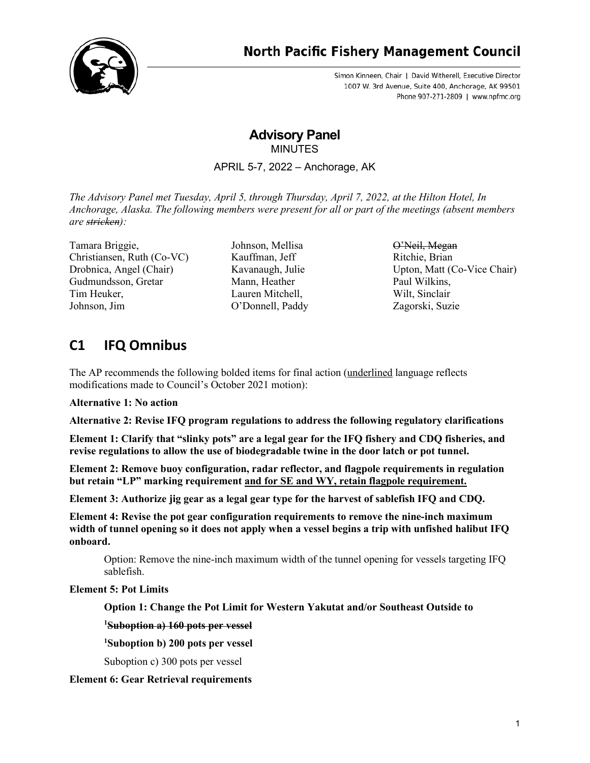

# **North Pacific Fishery Management Council**

Simon Kinneen, Chair | David Witherell, Executive Director 1007 W. 3rd Avenue, Suite 400, Anchorage, AK 99501 Phone 907-271-2809 | www.npfmc.org

# **Advisory Panel MINUTES**

APRIL 5-7, 2022 – Anchorage, AK

*The Advisory Panel met Tuesday, April 5, through Thursday, April 7, 2022, at the Hilton Hotel, In Anchorage, Alaska. The following members were present for all or part of the meetings (absent members are stricken):*

Tamara Briggie, Christiansen, Ruth (Co-VC) Drobnica, Angel (Chair) Gudmundsson, Gretar Tim Heuker, Johnson, Jim

Johnson, Mellisa Kauffman, Jeff Kavanaugh, Julie Mann, Heather Lauren Mitchell, O'Donnell, Paddy

O'Neil, Megan Ritchie, Brian Upton, Matt (Co-Vice Chair) Paul Wilkins, Wilt, Sinclair Zagorski, Suzie

# **C1 IFQ Omnibus**

The AP recommends the following bolded items for final action (underlined language reflects modifications made to Council's October 2021 motion):

**Alternative 1: No action**

**Alternative 2: Revise IFQ program regulations to address the following regulatory clarifications**

**Element 1: Clarify that "slinky pots" are a legal gear for the IFQ fishery and CDQ fisheries, and revise regulations to allow the use of biodegradable twine in the door latch or pot tunnel.**

**Element 2: Remove buoy configuration, radar reflector, and flagpole requirements in regulation but retain "LP" marking requirement and for SE and WY, retain flagpole requirement.**

**Element 3: Authorize jig gear as a legal gear type for the harvest of sablefish IFQ and CDQ.**

**Element 4: Revise the pot gear configuration requirements to remove the nine-inch maximum width of tunnel opening so it does not apply when a vessel begins a trip with unfished halibut IFQ onboard.**

Option: Remove the nine-inch maximum width of the tunnel opening for vessels targeting IFQ sablefish.

# **Element 5: Pot Limits**

**Option 1: Change the Pot Limit for Western Yakutat and/or Southeast Outside to**

**1 Suboption a) 160 pots per vessel**

**1 Suboption b) 200 pots per vessel**

Suboption c) 300 pots per vessel

**Element 6: Gear Retrieval requirements**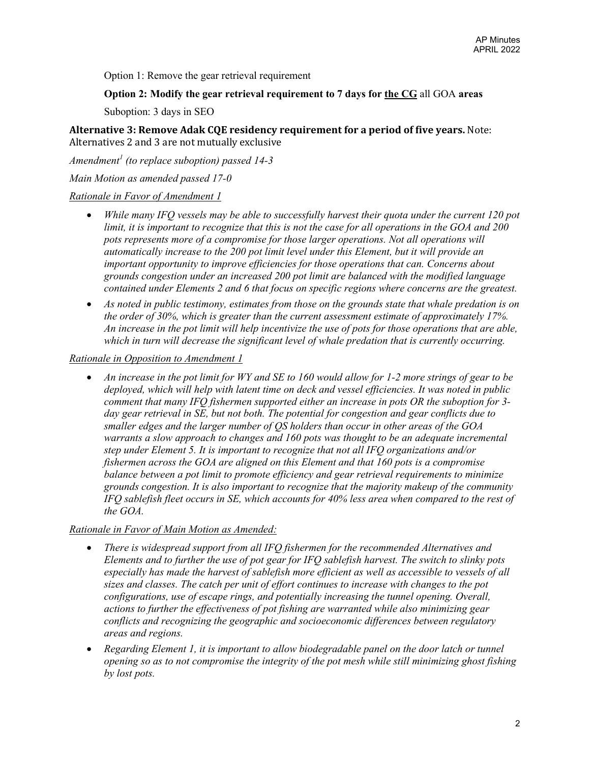Option 1: Remove the gear retrieval requirement

### **Option 2: Modify the gear retrieval requirement to 7 days for the CG** all GOA **areas**

Suboption: 3 days in SEO

**Alternative 3: Remove Adak CQE residency requirement for a period of five years.** Note: Alternatives 2 and 3 are not mutually exclusive

*Amendment<sup>1</sup> (to replace suboption) passed 14-3*

*Main Motion as amended passed 17-0*

## *Rationale in Favor of Amendment 1*

- *While many IFQ vessels may be able to successfully harvest their quota under the current 120 pot limit, it is important to recognize that this is not the case for all operations in the GOA and 200 pots represents more of a compromise for those larger operations. Not all operations will automatically increase to the 200 pot limit level under this Element, but it will provide an important opportunity to improve efficiencies for those operations that can. Concerns about grounds congestion under an increased 200 pot limit are balanced with the modified language contained under Elements 2 and 6 that focus on specific regions where concerns are the greatest.*
- *As noted in public testimony, estimates from those on the grounds state that whale predation is on the order of 30%, which is greater than the current assessment estimate of approximately 17%. An increase in the pot limit will help incentivize the use of pots for those operations that are able, which in turn will decrease the significant level of whale predation that is currently occurring.*

### *Rationale in Opposition to Amendment 1*

• *An increase in the pot limit for WY and SE to 160 would allow for 1-2 more strings of gear to be deployed, which will help with latent time on deck and vessel efficiencies. It was noted in public comment that many IFQ fishermen supported either an increase in pots OR the suboption for 3 day gear retrieval in SE, but not both. The potential for congestion and gear conflicts due to smaller edges and the larger number of QS holders than occur in other areas of the GOA warrants a slow approach to changes and 160 pots was thought to be an adequate incremental step under Element 5. It is important to recognize that not all IFQ organizations and/or fishermen across the GOA are aligned on this Element and that 160 pots is a compromise balance between a pot limit to promote efficiency and gear retrieval requirements to minimize grounds congestion. It is also important to recognize that the majority makeup of the community IFQ sablefish fleet occurs in SE, which accounts for 40% less area when compared to the rest of the GOA.*

### *Rationale in Favor of Main Motion as Amended:*

- *There is widespread support from all IFQ fishermen for the recommended Alternatives and Elements and to further the use of pot gear for IFQ sablefish harvest. The switch to slinky pots especially has made the harvest of sablefish more efficient as well as accessible to vessels of all sizes and classes. The catch per unit of effort continues to increase with changes to the pot configurations, use of escape rings, and potentially increasing the tunnel opening. Overall, actions to further the effectiveness of pot fishing are warranted while also minimizing gear conflicts and recognizing the geographic and socioeconomic differences between regulatory areas and regions.*
- *Regarding Element 1, it is important to allow biodegradable panel on the door latch or tunnel opening so as to not compromise the integrity of the pot mesh while still minimizing ghost fishing by lost pots.*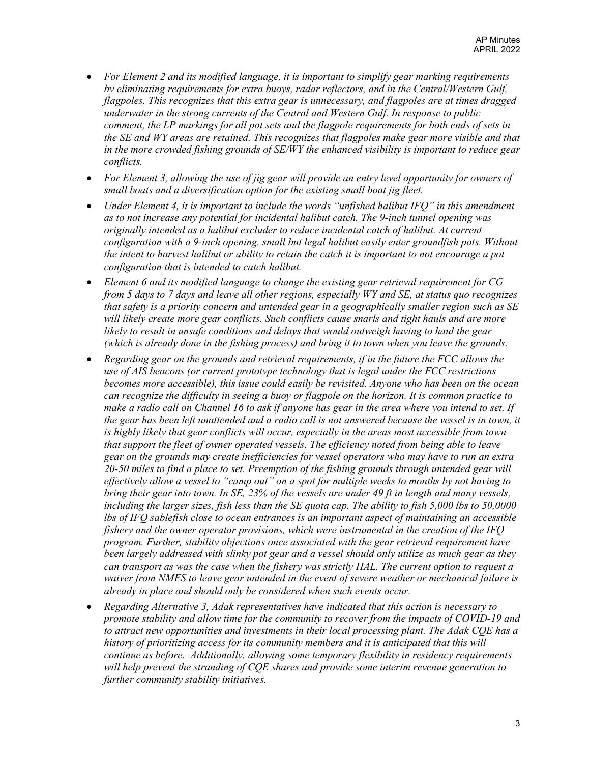- *For Element 2 and its modified language, it is important to simplify gear marking requirements by eliminating requirements for extra buoys, radar reflectors, and in the Central/Western Gulf, flagpoles. This recognizes that this extra gear is unnecessary, and flagpoles are at times dragged underwater in the strong currents of the Central and Western Gulf. In response to public comment, the LP markings for all pot sets and the flagpole requirements for both ends of sets in the SE and WY areas are retained. This recognizes that flagpoles make gear more visible and that in the more crowded fishing grounds of SE/WY the enhanced visibility is important to reduce gear conflicts.*
- *For Element 3, allowing the use of jig gear will provide an entry level opportunity for owners of small boats and a diversification option for the existing small boat jig fleet.*
- *Under Element 4, it is important to include the words "unfished halibut IFQ" in this amendment as to not increase any potential for incidental halibut catch. The 9-inch tunnel opening was originally intended as a halibut excluder to reduce incidental catch of halibut. At current configuration with a 9-inch opening, small but legal halibut easily enter groundfish pots. Without the intent to harvest halibut or ability to retain the catch it is important to not encourage a pot configuration that is intended to catch halibut.*
- *Element 6 and its modified language to change the existing gear retrieval requirement for CG from 5 days to 7 days and leave all other regions, especially WY and SE, at status quo recognizes that safety is a priority concern and untended gear in a geographically smaller region such as SE will likely create more gear conflicts. Such conflicts cause snarls and tight hauls and are more likely to result in unsafe conditions and delays that would outweigh having to haul the gear (which is already done in the fishing process) and bring it to town when you leave the grounds.*
- *Regarding gear on the grounds and retrieval requirements, if in the future the FCC allows the use of AIS beacons (or current prototype technology that is legal under the FCC restrictions becomes more accessible), this issue could easily be revisited. Anyone who has been on the ocean can recognize the difficulty in seeing a buoy or flagpole on the horizon. It is common practice to make a radio call on Channel 16 to ask if anyone has gear in the area where you intend to set. If the gear has been left unattended and a radio call is not answered because the vessel is in town, it is highly likely that gear conflicts will occur, especially in the areas most accessible from town that support the fleet of owner operated vessels. The efficiency noted from being able to leave gear on the grounds may create inefficiencies for vessel operators who may have to run an extra 20-50 miles to find a place to set. Preemption of the fishing grounds through untended gear will effectively allow a vessel to "camp out" on a spot for multiple weeks to months by not having to bring their gear into town. In SE, 23% of the vessels are under 49 ft in length and many vessels, including the larger sizes, fish less than the SE quota cap. The ability to fish 5,000 lbs to 50,0000 lbs of IFQ sablefish close to ocean entrances is an important aspect of maintaining an accessible fishery and the owner operator provisions, which were instrumental in the creation of the IFQ program. Further, stability objections once associated with the gear retrieval requirement have been largely addressed with slinky pot gear and a vessel should only utilize as much gear as they can transport as was the case when the fishery was strictly HAL. The current option to request a waiver from NMFS to leave gear untended in the event of severe weather or mechanical failure is already in place and should only be considered when such events occur.*
- *Regarding Alternative 3, Adak representatives have indicated that this action is necessary to promote stability and allow time for the community to recover from the impacts of COVID-19 and to attract new opportunities and investments in their local processing plant. The Adak CQE has a history of prioritizing access for its community members and it is anticipated that this will continue as before. Additionally, allowing some temporary flexibility in residency requirements will help prevent the stranding of CQE shares and provide some interim revenue generation to further community stability initiatives.*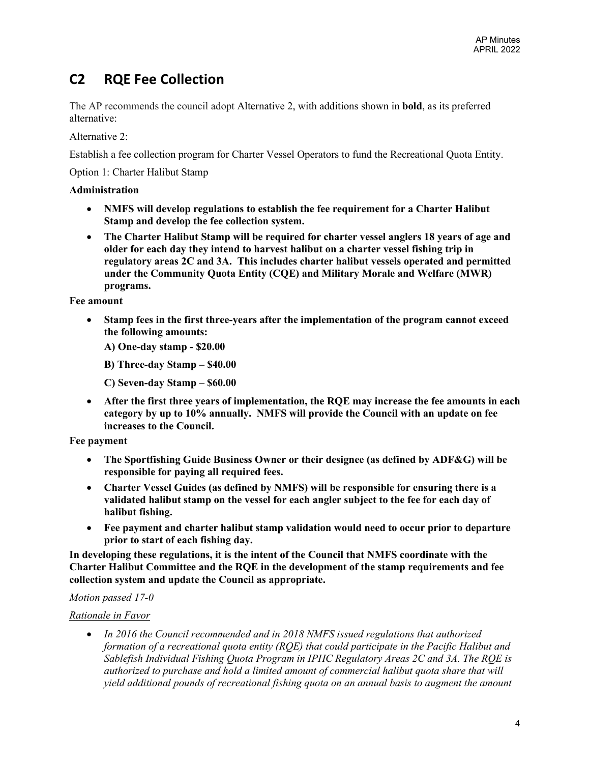# **C2 RQE Fee Collection**

The AP recommends the council adopt Alternative 2, with additions shown in **bold**, as its preferred alternative:

Alternative 2:

Establish a fee collection program for Charter Vessel Operators to fund the Recreational Quota Entity.

Option 1: Charter Halibut Stamp

## **Administration**

- **NMFS will develop regulations to establish the fee requirement for a Charter Halibut Stamp and develop the fee collection system.**
- **The Charter Halibut Stamp will be required for charter vessel anglers 18 years of age and older for each day they intend to harvest halibut on a charter vessel fishing trip in regulatory areas 2C and 3A. This includes charter halibut vessels operated and permitted under the Community Quota Entity (CQE) and Military Morale and Welfare (MWR) programs.**

**Fee amount**

- **Stamp fees in the first three-years after the implementation of the program cannot exceed the following amounts:**
	- **A) One-day stamp - \$20.00**
	- **B) Three-day Stamp – \$40.00**
	- **C) Seven-day Stamp – \$60.00**
- **After the first three years of implementation, the RQE may increase the fee amounts in each category by up to 10% annually. NMFS will provide the Council with an update on fee increases to the Council.**

### **Fee payment**

- **The Sportfishing Guide Business Owner or their designee (as defined by ADF&G) will be responsible for paying all required fees.**
- **Charter Vessel Guides (as defined by NMFS) will be responsible for ensuring there is a validated halibut stamp on the vessel for each angler subject to the fee for each day of halibut fishing.**
- **Fee payment and charter halibut stamp validation would need to occur prior to departure prior to start of each fishing day.**

**In developing these regulations, it is the intent of the Council that NMFS coordinate with the Charter Halibut Committee and the RQE in the development of the stamp requirements and fee collection system and update the Council as appropriate.**

# *Motion passed 17-0*

# *Rationale in Favor*

• *In 2016 the Council recommended and in 2018 NMFS issued regulations that authorized formation of a recreational quota entity (RQE) that could participate in the Pacific Halibut and Sablefish Individual Fishing Quota Program in IPHC Regulatory Areas 2C and 3A. The RQE is authorized to purchase and hold a limited amount of commercial halibut quota share that will yield additional pounds of recreational fishing quota on an annual basis to augment the amount*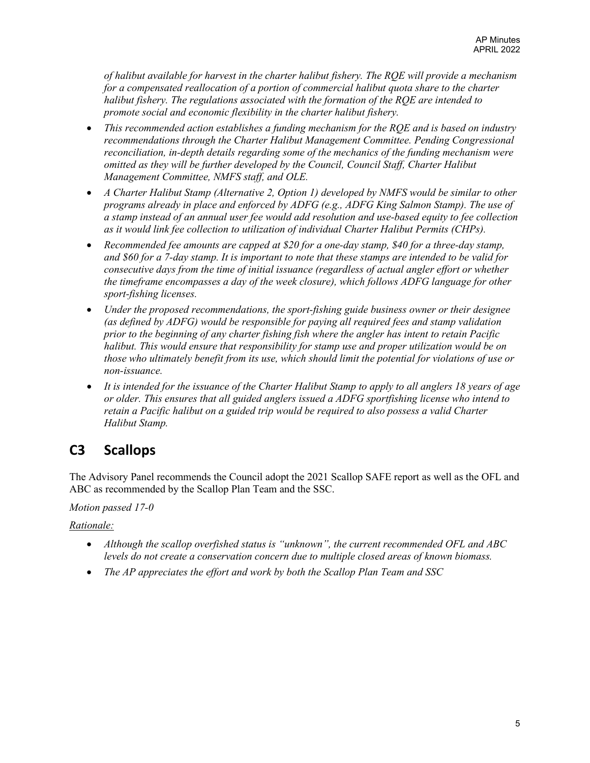*of halibut available for harvest in the charter halibut fishery. The RQE will provide a mechanism for a compensated reallocation of a portion of commercial halibut quota share to the charter halibut fishery. The regulations associated with the formation of the RQE are intended to promote social and economic flexibility in the charter halibut fishery.*

- *This recommended action establishes a funding mechanism for the RQE and is based on industry recommendations through the Charter Halibut Management Committee. Pending Congressional reconciliation, in-depth details regarding some of the mechanics of the funding mechanism were omitted as they will be further developed by the Council, Council Staff, Charter Halibut Management Committee, NMFS staff, and OLE.*
- *A Charter Halibut Stamp (Alternative 2, Option 1) developed by NMFS would be similar to other programs already in place and enforced by ADFG (e.g., ADFG King Salmon Stamp). The use of a stamp instead of an annual user fee would add resolution and use-based equity to fee collection as it would link fee collection to utilization of individual Charter Halibut Permits (CHPs).*
- *Recommended fee amounts are capped at \$20 for a one-day stamp, \$40 for a three-day stamp, and \$60 for a 7-day stamp. It is important to note that these stamps are intended to be valid for consecutive days from the time of initial issuance (regardless of actual angler effort or whether the timeframe encompasses a day of the week closure), which follows ADFG language for other sport-fishing licenses.*
- *Under the proposed recommendations, the sport-fishing guide business owner or their designee (as defined by ADFG) would be responsible for paying all required fees and stamp validation prior to the beginning of any charter fishing fish where the angler has intent to retain Pacific halibut. This would ensure that responsibility for stamp use and proper utilization would be on those who ultimately benefit from its use, which should limit the potential for violations of use or non-issuance.*
- *It is intended for the issuance of the Charter Halibut Stamp to apply to all anglers 18 years of age or older. This ensures that all guided anglers issued a ADFG sportfishing license who intend to retain a Pacific halibut on a guided trip would be required to also possess a valid Charter Halibut Stamp.*

# **C3 Scallops**

The Advisory Panel recommends the Council adopt the 2021 Scallop SAFE report as well as the OFL and ABC as recommended by the Scallop Plan Team and the SSC.

# *Motion passed 17-0*

*Rationale:*

- *Although the scallop overfished status is "unknown", the current recommended OFL and ABC levels do not create a conservation concern due to multiple closed areas of known biomass.*
- *The AP appreciates the effort and work by both the Scallop Plan Team and SSC*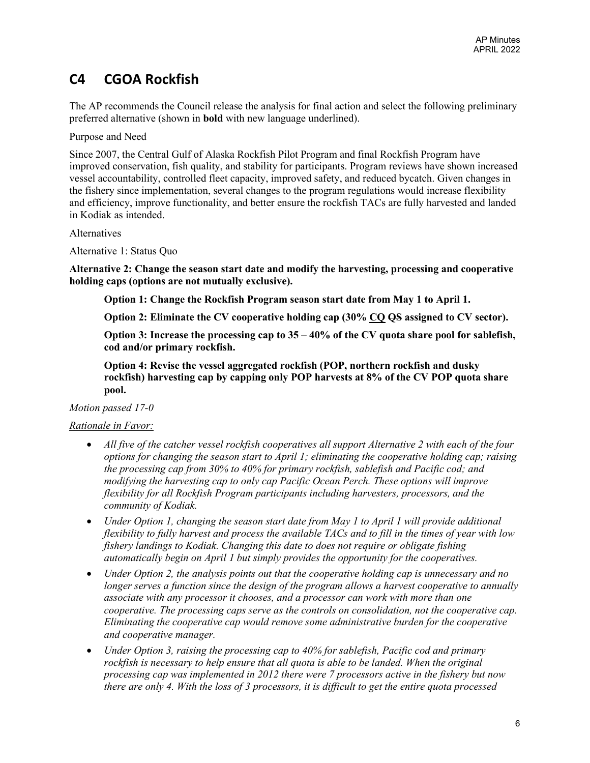# **C4 CGOA Rockfish**

The AP recommends the Council release the analysis for final action and select the following preliminary preferred alternative (shown in **bold** with new language underlined).

Purpose and Need

Since 2007, the Central Gulf of Alaska Rockfish Pilot Program and final Rockfish Program have improved conservation, fish quality, and stability for participants. Program reviews have shown increased vessel accountability, controlled fleet capacity, improved safety, and reduced bycatch. Given changes in the fishery since implementation, several changes to the program regulations would increase flexibility and efficiency, improve functionality, and better ensure the rockfish TACs are fully harvested and landed in Kodiak as intended.

### Alternatives

Alternative 1: Status Quo

**Alternative 2: Change the season start date and modify the harvesting, processing and cooperative holding caps (options are not mutually exclusive).**

**Option 1: Change the Rockfish Program season start date from May 1 to April 1.**

**Option 2: Eliminate the CV cooperative holding cap (30% CQ QS assigned to CV sector).**

**Option 3: Increase the processing cap to 35 – 40% of the CV quota share pool for sablefish, cod and/or primary rockfish.**

**Option 4: Revise the vessel aggregated rockfish (POP, northern rockfish and dusky rockfish) harvesting cap by capping only POP harvests at 8% of the CV POP quota share pool.**

*Motion passed 17-0*

# *Rationale in Favor:*

- *All five of the catcher vessel rockfish cooperatives all support Alternative 2 with each of the four options for changing the season start to April 1; eliminating the cooperative holding cap; raising the processing cap from 30% to 40% for primary rockfish, sablefish and Pacific cod; and modifying the harvesting cap to only cap Pacific Ocean Perch. These options will improve flexibility for all Rockfish Program participants including harvesters, processors, and the community of Kodiak.*
- *Under Option 1, changing the season start date from May 1 to April 1 will provide additional flexibility to fully harvest and process the available TACs and to fill in the times of year with low fishery landings to Kodiak. Changing this date to does not require or obligate fishing automatically begin on April 1 but simply provides the opportunity for the cooperatives.*
- *Under Option 2, the analysis points out that the cooperative holding cap is unnecessary and no longer serves a function since the design of the program allows a harvest cooperative to annually associate with any processor it chooses, and a processor can work with more than one cooperative. The processing caps serve as the controls on consolidation, not the cooperative cap. Eliminating the cooperative cap would remove some administrative burden for the cooperative and cooperative manager.*
- *Under Option 3, raising the processing cap to 40% for sablefish, Pacific cod and primary rockfish is necessary to help ensure that all quota is able to be landed. When the original processing cap was implemented in 2012 there were 7 processors active in the fishery but now there are only 4. With the loss of 3 processors, it is difficult to get the entire quota processed*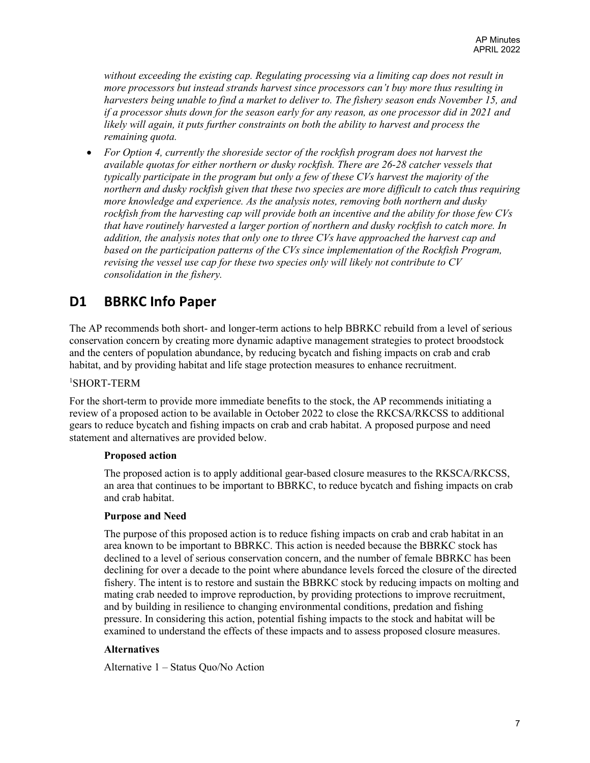*without exceeding the existing cap. Regulating processing via a limiting cap does not result in more processors but instead strands harvest since processors can't buy more thus resulting in harvesters being unable to find a market to deliver to. The fishery season ends November 15, and if a processor shuts down for the season early for any reason, as one processor did in 2021 and likely will again, it puts further constraints on both the ability to harvest and process the remaining quota.*

• *For Option 4, currently the shoreside sector of the rockfish program does not harvest the available quotas for either northern or dusky rockfish. There are 26-28 catcher vessels that typically participate in the program but only a few of these CVs harvest the majority of the northern and dusky rockfish given that these two species are more difficult to catch thus requiring more knowledge and experience. As the analysis notes, removing both northern and dusky rockfish from the harvesting cap will provide both an incentive and the ability for those few CVs that have routinely harvested a larger portion of northern and dusky rockfish to catch more. In addition, the analysis notes that only one to three CVs have approached the harvest cap and based on the participation patterns of the CVs since implementation of the Rockfish Program, revising the vessel use cap for these two species only will likely not contribute to CV consolidation in the fishery.*

# **D1 BBRKC Info Paper**

The AP recommends both short- and longer-term actions to help BBRKC rebuild from a level of serious conservation concern by creating more dynamic adaptive management strategies to protect broodstock and the centers of population abundance, by reducing bycatch and fishing impacts on crab and crab habitat, and by providing habitat and life stage protection measures to enhance recruitment.

## 1 SHORT-TERM

For the short-term to provide more immediate benefits to the stock, the AP recommends initiating a review of a proposed action to be available in October 2022 to close the RKCSA/RKCSS to additional gears to reduce bycatch and fishing impacts on crab and crab habitat. A proposed purpose and need statement and alternatives are provided below.

#### **Proposed action**

The proposed action is to apply additional gear-based closure measures to the RKSCA/RKCSS, an area that continues to be important to BBRKC, to reduce bycatch and fishing impacts on crab and crab habitat.

#### **Purpose and Need**

The purpose of this proposed action is to reduce fishing impacts on crab and crab habitat in an area known to be important to BBRKC. This action is needed because the BBRKC stock has declined to a level of serious conservation concern, and the number of female BBRKC has been declining for over a decade to the point where abundance levels forced the closure of the directed fishery. The intent is to restore and sustain the BBRKC stock by reducing impacts on molting and mating crab needed to improve reproduction, by providing protections to improve recruitment, and by building in resilience to changing environmental conditions, predation and fishing pressure. In considering this action, potential fishing impacts to the stock and habitat will be examined to understand the effects of these impacts and to assess proposed closure measures.

### **Alternatives**

Alternative 1 – Status Quo/No Action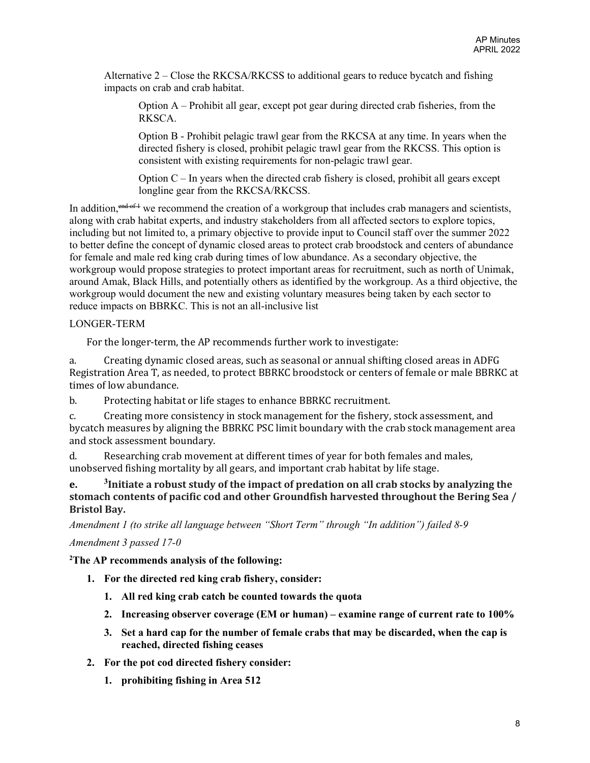Alternative 2 – Close the RKCSA/RKCSS to additional gears to reduce bycatch and fishing impacts on crab and crab habitat.

Option A – Prohibit all gear, except pot gear during directed crab fisheries, from the RKSCA.

Option B - Prohibit pelagic trawl gear from the RKCSA at any time. In years when the directed fishery is closed, prohibit pelagic trawl gear from the RKCSS. This option is consistent with existing requirements for non-pelagic trawl gear.

Option  $C$  – In years when the directed crab fishery is closed, prohibit all gears except longline gear from the RKCSA/RKCSS.

In addition, <sup>end of 1</sup> we recommend the creation of a workgroup that includes crab managers and scientists, along with crab habitat experts, and industry stakeholders from all affected sectors to explore topics, including but not limited to, a primary objective to provide input to Council staff over the summer 2022 to better define the concept of dynamic closed areas to protect crab broodstock and centers of abundance for female and male red king crab during times of low abundance. As a secondary objective, the workgroup would propose strategies to protect important areas for recruitment, such as north of Unimak, around Amak, Black Hills, and potentially others as identified by the workgroup. As a third objective, the workgroup would document the new and existing voluntary measures being taken by each sector to reduce impacts on BBRKC. This is not an all-inclusive list

### LONGER-TERM

For the longer-term, the AP recommends further work to investigate:

a. Creating dynamic closed areas, such as seasonal or annual shifting closed areas in ADFG Registration Area T, as needed, to protect BBRKC broodstock or centers of female or male BBRKC at times of low abundance.

b. Protecting habitat or life stages to enhance BBRKC recruitment.

c. Creating more consistency in stock management for the fishery, stock assessment, and bycatch measures by aligning the BBRKC PSC limit boundary with the crab stock management area and stock assessment boundary.

d. Researching crab movement at different times of year for both females and males, unobserved fishing mortality by all gears, and important crab habitat by life stage.

**e. <sup>3</sup>Initiate a robust study of the impact of predation on all crab stocks by analyzing the stomach contents of pacific cod and other Groundfish harvested throughout the Bering Sea / Bristol Bay.**

*Amendment 1 (to strike all language between "Short Term" through "In addition") failed 8-9*

### *Amendment 3 passed 17-0*

**2 The AP recommends analysis of the following:**

- **1. For the directed red king crab fishery, consider:**
	- **1. All red king crab catch be counted towards the quota**
	- **2. Increasing observer coverage (EM or human) – examine range of current rate to 100%**
	- **3. Set a hard cap for the number of female crabs that may be discarded, when the cap is reached, directed fishing ceases**
- **2. For the pot cod directed fishery consider:**
	- **1. prohibiting fishing in Area 512**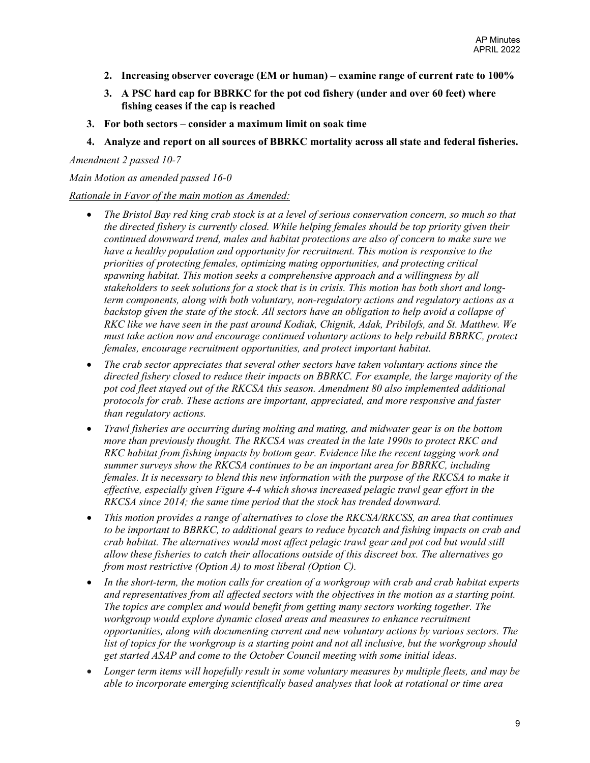- **2. Increasing observer coverage (EM or human) – examine range of current rate to 100%**
- **3. A PSC hard cap for BBRKC for the pot cod fishery (under and over 60 feet) where fishing ceases if the cap is reached**
- **3. For both sectors – consider a maximum limit on soak time**
- **4. Analyze and report on all sources of BBRKC mortality across all state and federal fisheries.**

*Amendment 2 passed 10-7*

*Main Motion as amended passed 16-0*

## *Rationale in Favor of the main motion as Amended:*

- *The Bristol Bay red king crab stock is at a level of serious conservation concern, so much so that the directed fishery is currently closed. While helping females should be top priority given their continued downward trend, males and habitat protections are also of concern to make sure we have a healthy population and opportunity for recruitment. This motion is responsive to the priorities of protecting females, optimizing mating opportunities, and protecting critical spawning habitat. This motion seeks a comprehensive approach and a willingness by all stakeholders to seek solutions for a stock that is in crisis. This motion has both short and longterm components, along with both voluntary, non-regulatory actions and regulatory actions as a*  backstop given the state of the stock. All sectors have an obligation to help avoid a collapse of *RKC like we have seen in the past around Kodiak, Chignik, Adak, Pribilofs, and St. Matthew. We must take action now and encourage continued voluntary actions to help rebuild BBRKC, protect females, encourage recruitment opportunities, and protect important habitat.*
- *The crab sector appreciates that several other sectors have taken voluntary actions since the directed fishery closed to reduce their impacts on BBRKC. For example, the large majority of the pot cod fleet stayed out of the RKCSA this season. Amendment 80 also implemented additional protocols for crab. These actions are important, appreciated, and more responsive and faster than regulatory actions.*
- *Trawl fisheries are occurring during molting and mating, and midwater gear is on the bottom more than previously thought. The RKCSA was created in the late 1990s to protect RKC and RKC habitat from fishing impacts by bottom gear. Evidence like the recent tagging work and summer surveys show the RKCSA continues to be an important area for BBRKC, including females. It is necessary to blend this new information with the purpose of the RKCSA to make it effective, especially given Figure 4-4 which shows increased pelagic trawl gear effort in the RKCSA since 2014; the same time period that the stock has trended downward.*
- *This motion provides a range of alternatives to close the RKCSA/RKCSS, an area that continues to be important to BBRKC, to additional gears to reduce bycatch and fishing impacts on crab and crab habitat. The alternatives would most affect pelagic trawl gear and pot cod but would still allow these fisheries to catch their allocations outside of this discreet box. The alternatives go from most restrictive (Option A) to most liberal (Option C).*
- *In the short-term, the motion calls for creation of a workgroup with crab and crab habitat experts and representatives from all affected sectors with the objectives in the motion as a starting point. The topics are complex and would benefit from getting many sectors working together. The workgroup would explore dynamic closed areas and measures to enhance recruitment opportunities, along with documenting current and new voluntary actions by various sectors. The list of topics for the workgroup is a starting point and not all inclusive, but the workgroup should get started ASAP and come to the October Council meeting with some initial ideas.*
- *Longer term items will hopefully result in some voluntary measures by multiple fleets, and may be able to incorporate emerging scientifically based analyses that look at rotational or time area*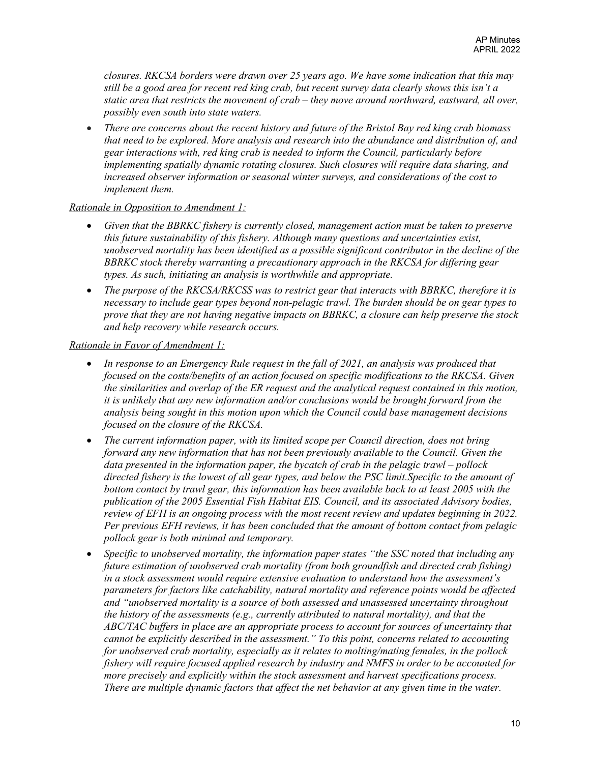*closures. RKCSA borders were drawn over 25 years ago. We have some indication that this may still be a good area for recent red king crab, but recent survey data clearly shows this isn't a static area that restricts the movement of crab – they move around northward, eastward, all over, possibly even south into state waters.*

• *There are concerns about the recent history and future of the Bristol Bay red king crab biomass that need to be explored. More analysis and research into the abundance and distribution of, and gear interactions with, red king crab is needed to inform the Council, particularly before implementing spatially dynamic rotating closures. Such closures will require data sharing, and increased observer information or seasonal winter surveys, and considerations of the cost to implement them.*

#### *Rationale in Opposition to Amendment 1:*

- *Given that the BBRKC fishery is currently closed, management action must be taken to preserve this future sustainability of this fishery. Although many questions and uncertainties exist, unobserved mortality has been identified as a possible significant contributor in the decline of the BBRKC stock thereby warranting a precautionary approach in the RKCSA for differing gear types. As such, initiating an analysis is worthwhile and appropriate.*
- *The purpose of the RKCSA/RKCSS was to restrict gear that interacts with BBRKC, therefore it is necessary to include gear types beyond non-pelagic trawl. The burden should be on gear types to prove that they are not having negative impacts on BBRKC, a closure can help preserve the stock and help recovery while research occurs.*

#### *Rationale in Favor of Amendment 1:*

- *In response to an Emergency Rule request in the fall of 2021, an analysis was produced that focused on the costs/benefits of an action focused on specific modifications to the RKCSA. Given the similarities and overlap of the ER request and the analytical request contained in this motion, it is unlikely that any new information and/or conclusions would be brought forward from the analysis being sought in this motion upon which the Council could base management decisions focused on the closure of the RKCSA.*
- *The current information paper, with its limited scope per Council direction, does not bring forward any new information that has not been previously available to the Council. Given the data presented in the information paper, the bycatch of crab in the pelagic trawl – pollock directed fishery is the lowest of all gear types, and below the PSC limit.Specific to the amount of*  bottom contact by trawl gear, this information has been available back to at least 2005 with the *publication of the 2005 Essential Fish Habitat EIS. Council, and its associated Advisory bodies, review of EFH is an ongoing process with the most recent review and updates beginning in 2022. Per previous EFH reviews, it has been concluded that the amount of bottom contact from pelagic pollock gear is both minimal and temporary.*
- *Specific to unobserved mortality, the information paper states "the SSC noted that including any future estimation of unobserved crab mortality (from both groundfish and directed crab fishing) in a stock assessment would require extensive evaluation to understand how the assessment's parameters for factors like catchability, natural mortality and reference points would be affected and "unobserved mortality is a source of both assessed and unassessed uncertainty throughout the history of the assessments (e.g., currently attributed to natural mortality), and that the ABC/TAC buffers in place are an appropriate process to account for sources of uncertainty that cannot be explicitly described in the assessment." To this point, concerns related to accounting for unobserved crab mortality, especially as it relates to molting/mating females, in the pollock fishery will require focused applied research by industry and NMFS in order to be accounted for more precisely and explicitly within the stock assessment and harvest specifications process. There are multiple dynamic factors that affect the net behavior at any given time in the water.*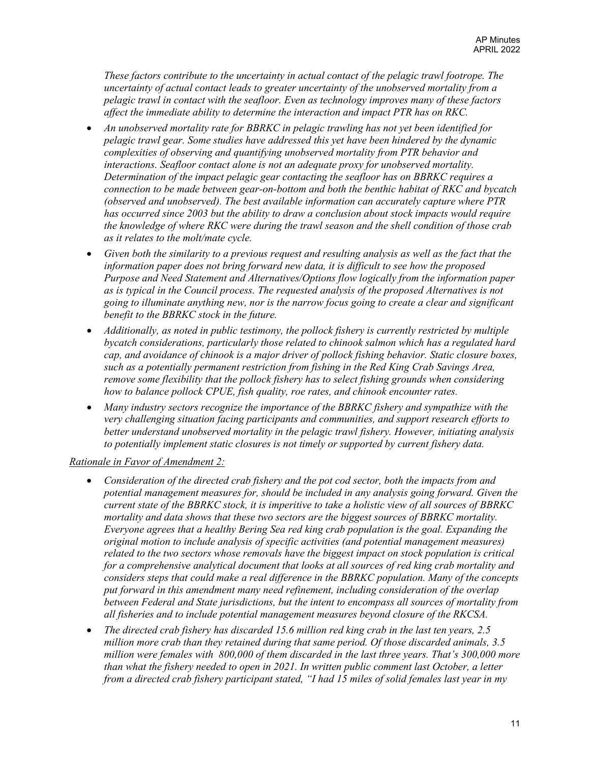*These factors contribute to the uncertainty in actual contact of the pelagic trawl footrope. The uncertainty of actual contact leads to greater uncertainty of the unobserved mortality from a pelagic trawl in contact with the seafloor. Even as technology improves many of these factors affect the immediate ability to determine the interaction and impact PTR has on RKC.*

- *An unobserved mortality rate for BBRKC in pelagic trawling has not yet been identified for pelagic trawl gear. Some studies have addressed this yet have been hindered by the dynamic complexities of observing and quantifying unobserved mortality from PTR behavior and interactions. Seafloor contact alone is not an adequate proxy for unobserved mortality. Determination of the impact pelagic gear contacting the seafloor has on BBRKC requires a connection to be made between gear-on-bottom and both the benthic habitat of RKC and bycatch (observed and unobserved). The best available information can accurately capture where PTR has occurred since 2003 but the ability to draw a conclusion about stock impacts would require the knowledge of where RKC were during the trawl season and the shell condition of those crab as it relates to the molt/mate cycle.*
- *Given both the similarity to a previous request and resulting analysis as well as the fact that the information paper does not bring forward new data, it is difficult to see how the proposed Purpose and Need Statement and Alternatives/Options flow logically from the information paper as is typical in the Council process. The requested analysis of the proposed Alternatives is not going to illuminate anything new, nor is the narrow focus going to create a clear and significant benefit to the BBRKC stock in the future.*
- *Additionally, as noted in public testimony, the pollock fishery is currently restricted by multiple bycatch considerations, particularly those related to chinook salmon which has a regulated hard cap, and avoidance of chinook is a major driver of pollock fishing behavior. Static closure boxes, such as a potentially permanent restriction from fishing in the Red King Crab Savings Area, remove some flexibility that the pollock fishery has to select fishing grounds when considering how to balance pollock CPUE, fish quality, roe rates, and chinook encounter rates.*
- *Many industry sectors recognize the importance of the BBRKC fishery and sympathize with the very challenging situation facing participants and communities, and support research efforts to better understand unobserved mortality in the pelagic trawl fishery. However, initiating analysis to potentially implement static closures is not timely or supported by current fishery data.*

### *Rationale in Favor of Amendment 2:*

- *Consideration of the directed crab fishery and the pot cod sector, both the impacts from and potential management measures for, should be included in any analysis going forward. Given the current state of the BBRKC stock, it is imperitive to take a holistic view of all sources of BBRKC mortality and data shows that these two sectors are the biggest sources of BBRKC mortality. Everyone agrees that a healthy Bering Sea red king crab population is the goal. Expanding the original motion to include analysis of specific activities (and potential management measures) related to the two sectors whose removals have the biggest impact on stock population is critical for a comprehensive analytical document that looks at all sources of red king crab mortality and considers steps that could make a real difference in the BBRKC population. Many of the concepts put forward in this amendment many need refinement, including consideration of the overlap between Federal and State jurisdictions, but the intent to encompass all sources of mortality from all fisheries and to include potential management measures beyond closure of the RKCSA.*
- *The directed crab fishery has discarded 15.6 million red king crab in the last ten years, 2.5 million more crab than they retained during that same period. Of those discarded animals, 3.5 million were females with 800,000 of them discarded in the last three years. That's 300,000 more than what the fishery needed to open in 2021. In written public comment last October, a letter from a directed crab fishery participant stated, "I had 15 miles of solid females last year in my*